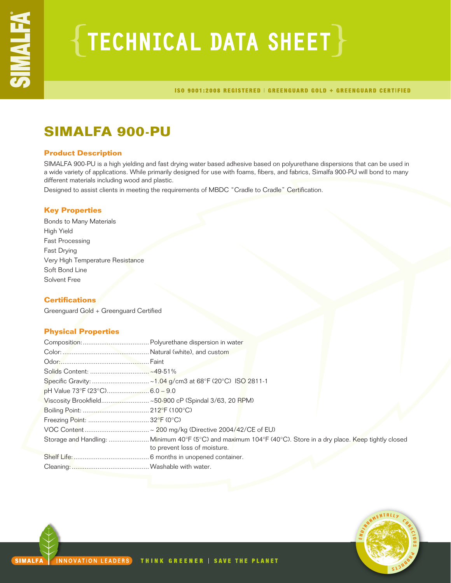# $\{$  TECHNICAL DATA SHEET  $\}$

ISO 9001:2008 REGISTERED | GREENGUARD GOLD + GREENGUARD CERTIFIED

# **SIMALFA 900-PU**

# **Product Description**

SIMALFA 900-PU is a high yielding and fast drying water based adhesive based on polyurethane dispersions that can be used in a wide variety of applications. While primarily designed for use with foams, fibers, and fabrics, Simalfa 900-PU will bond to many different materials including wood and plastic.

Designed to assist clients in meeting the requirements of MBDC "Cradle to Cradle" Certification.

# **Key Properties**

Bonds to Many Materials High Yield Fast Processing Fast Drying Very High Temperature Resistance Soft Bond Line Solvent Free

# **Certifications**

Greenguard Gold + Greenguard Certified

# **Physical Properties**

| to prevent loss of moisture. |
|------------------------------|
|                              |
|                              |

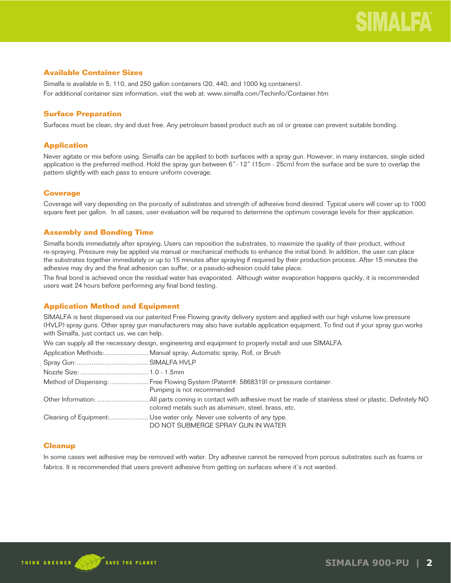# **Available Container Sizes**

Simalfa is available in 5, 110, and 250 gallon containers (20, 440, and 1000 kg containers). For additional container size information, visit the web at: www.simalfa.com/Techinfo/Container.htm

# **Surface Preparation**

Surfaces must be clean, dry and dust free. Any petroleum based product such as oil or grease can prevent suitable bonding.

# **Application**

Never agitate or mix before using. Simalfa can be applied to both surfaces with a spray gun. However, in many instances, single sided application is the preferred method. Hold the spray gun between 6"- 12" (15cm - 25cm) from the surface and be sure to overlap the pattern slightly with each pass to ensure uniform coverage.

# **Coverage**

Coverage will vary depending on the porosity of substrates and strength of adhesive bond desired. Typical users will cover up to 1000 square feet per gallon. In all cases, user evaluation will be required to determine the optimum coverage levels for their application.

# **Assembly and Bonding Time**

Simalfa bonds immediately after spraying. Users can reposition the substrates, to maximize the quality of their product, without re-spraying. Pressure may be applied via manual or mechanical methods to enhance the initial bond. In addition, the user can place the substrates together immediately or up to 15 minutes after spraying if required by their production process. After 15 minutes the adhesive may dry and the final adhesion can suffer, or a pseudo-adhesion could take place.

The final bond is achieved once the residual water has evaporated. Although water evaporation happens quickly, it is recommended users wait 24 hours before performing any final bond testing.

# **Application Method and Equipment**

SIMALFA is best dispensed via our patented Free Flowing gravity delivery system and applied with our high volume low-pressure (HVLP) spray guns. Other spray gun manufacturers may also have suitable application equipment. To find out if your spray gun works with Simalfa, just contact us, we can help.

We can supply all the necessary design, engineering and equipment to properly install and use SIMALFA.

| Application Methods: Manual spray, Automatic spray, Roll, or Brush                                                 |
|--------------------------------------------------------------------------------------------------------------------|
|                                                                                                                    |
|                                                                                                                    |
| Method of Dispensing:  Free Flowing System (Patent#: 5868319) or pressure container.<br>Pumping is not recommended |
| colored metals such as aluminum, steel, brass, etc.                                                                |
| Cleaning of Equipment: Use water only. Never use solvents of any type.<br>DO NOT SUBMERGE SPRAY GUN IN WATER       |

# **Cleanup**

In some cases wet adhesive may be removed with water. Dry adhesive cannot be removed from porous substrates such as foams or fabrics. It is recommended that users prevent adhesive from getting on surfaces where it's not wanted.

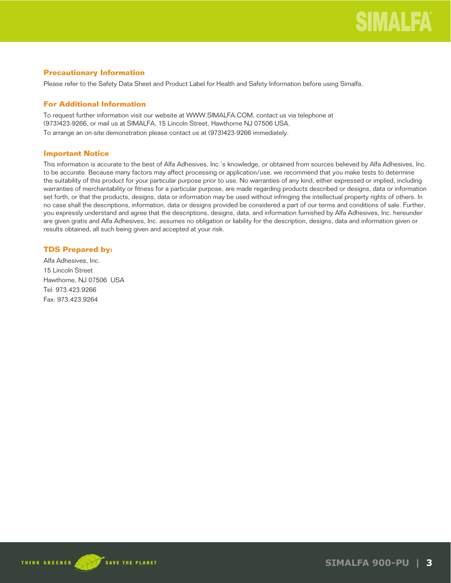# **Precautionary Information**

Please refer to the Safety Data Sheet and Product Label for Health and Safety Information before using Simalfa.

# **For Additional Information**

To request further information visit our website at WWW.SIMALFA.COM, contact us via telephone at (973)423-9266, or mail us at SIMALFA, 15 Lincoln Street, Hawthorne NJ 07506 USA.

To arrange an on-site demonstration please contact us at (973)423-9266 immediately.

# **Important Notice**

This information is accurate to the best of Alfa Adhesives, Inc.'s knowledge, or obtained from sources believed by Alfa Adhesives, Inc. to be accurate. Because many factors may affect processing or application/use, we recommend that you make tests to determine the suitability of this product for your particular purpose prior to use. No warranties of any kind, either expressed or implied, including warranties of merchantability or fitness for a particular purpose, are made regarding products described or designs, data or information set forth, or that the products, designs, data or information may be used without infringing the intellectual property rights of others. In no case shall the descriptions, information, data or designs provided be considered a part of our terms and conditions of sale. Further, you expressly understand and agree that the descriptions, designs, data, and information furnished by Alfa Adhesives, Inc. hereunder are given gratis and Alfa Adhesives, Inc. assumes no obligation or liability for the description, designs, data and information given or results obtained, all such being given and accepted at your risk.

# **TDS Prepared by:**

Alfa Adhesives, Inc. 15 Lincoln Street Hawthorne, NJ 07506 USA Tel: 973.423.9266 Fax: 973.423.9264

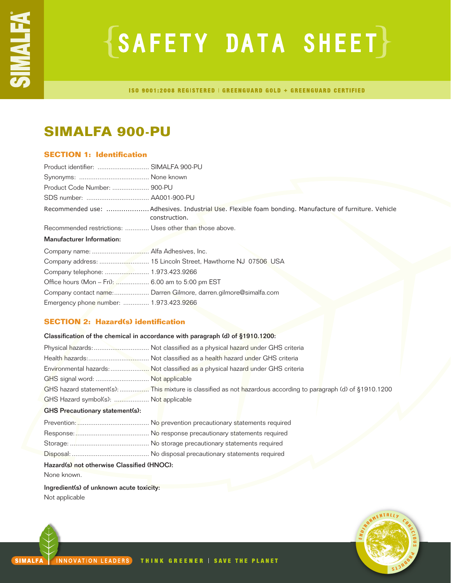# ${S$ AFETY DATA SHEET $}$

ISO 9001:2008 REGISTERED | GREENGUARD GOLD + GREENGUARD CERTIFIED

# **SIMALFA 900-PU**

# **SECTION 1: Identification**

| Product identifier:  SIMALFA 900-PU                     |                                                                                                                       |
|---------------------------------------------------------|-----------------------------------------------------------------------------------------------------------------------|
|                                                         |                                                                                                                       |
|                                                         |                                                                                                                       |
|                                                         |                                                                                                                       |
|                                                         | Recommended use: Adhesives. Industrial Use. Flexible foam bonding. Manufacture of furniture. Vehicle<br>construction. |
| Recommended restrictions:  Uses other than those above. |                                                                                                                       |
| <b>Manufacturer Information:</b>                        |                                                                                                                       |
|                                                         |                                                                                                                       |
|                                                         |                                                                                                                       |
|                                                         |                                                                                                                       |
| Office hours (Mon - Fri):  6.00 am to 5:00 pm EST       |                                                                                                                       |
|                                                         | Company contact name: Darren Gilmore, darren.gilmore@simalfa.com                                                      |
| Emergency phone number:  1.973.423.9266                 |                                                                                                                       |

# **SECTION 2: Hazard(s) identification**

|                                            | Classification of the chemical in accordance with paragraph (d) of §1910.1200:                                 |  |
|--------------------------------------------|----------------------------------------------------------------------------------------------------------------|--|
|                                            | Physical hazards:  Not classified as a physical hazard under GHS criteria                                      |  |
|                                            |                                                                                                                |  |
|                                            | Environmental hazards: Not classified as a physical hazard under GHS criteria                                  |  |
| GHS signal word:  Not applicable           |                                                                                                                |  |
|                                            | GHS hazard statement(s):  This mixture is classified as not hazardous according to paragraph (d) of §1910.1200 |  |
| GHS Hazard symbol(s):  Not applicable      |                                                                                                                |  |
| <b>GHS Precautionary statement(s):</b>     |                                                                                                                |  |
|                                            |                                                                                                                |  |
|                                            |                                                                                                                |  |
|                                            |                                                                                                                |  |
|                                            |                                                                                                                |  |
| Hazard(s) not otherwise Classified (HNOC): |                                                                                                                |  |
| None known.                                |                                                                                                                |  |
| Ingredient(s) of unknown acute toxicity:   |                                                                                                                |  |

Not applicable

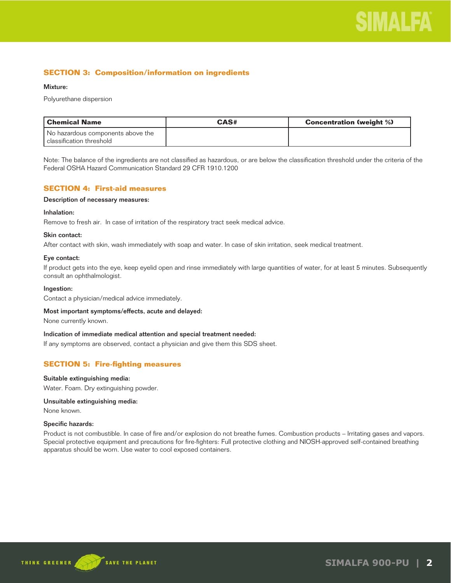# **SECTION 3: Composition/information on ingredients**

### Mixture:

Polyurethane dispersion

| l Chemical Name                                                 | CAS# | <b>Concentration (weight %)</b> |
|-----------------------------------------------------------------|------|---------------------------------|
| No hazardous components above the<br>l classification threshold |      |                                 |

Note: The balance of the ingredients are not classified as hazardous, or are below the classification threshold under the criteria of the Federal OSHA Hazard Communication Standard 29 CFR 1910.1200

# **SECTION 4: First-aid measures**

# Description of necessary measures:

# Inhalation:

Remove to fresh air. In case of irritation of the respiratory tract seek medical advice.

# Skin contact:

After contact with skin, wash immediately with soap and water. In case of skin irritation, seek medical treatment.

### Eye contact:

If product gets into the eye, keep eyelid open and rinse immediately with large quantities of water, for at least 5 minutes. Subsequently consult an ophthalmologist.

#### Ingestion:

Contact a physician/medical advice immediately.

#### Most important symptoms/effects, acute and delayed:

None currently known.

#### Indication of immediate medical attention and special treatment needed:

If any symptoms are observed, contact a physician and give them this SDS sheet.

# **SECTION 5: Fire-fighting measures**

#### Suitable extinguishing media:

Water. Foam. Dry extinguishing powder.

# Unsuitable extinguishing media:

None known.

#### Specific hazards:

Product is not combustible. In case of fire and/or explosion do not breathe fumes. Combustion products – Irritating gases and vapors. Special protective equipment and precautions for fire-fighters: Full protective clothing and NIOSH-approved self-contained breathing apparatus should be worn. Use water to cool exposed containers.

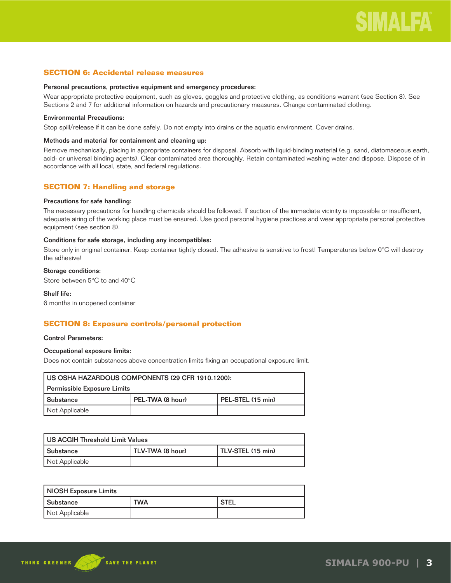# **SECTION 6: Accidental release measures**

#### Personal precautions, protective equipment and emergency procedures:

Wear appropriate protective equipment, such as gloves, goggles and protective clothing, as conditions warrant (see Section 8). See Sections 2 and 7 for additional information on hazards and precautionary measures. Change contaminated clothing.

# Environmental Precautions:

Stop spill/release if it can be done safely. Do not empty into drains or the aquatic environment. Cover drains.

### Methods and material for containment and cleaning up:

Remove mechanically, placing in appropriate containers for disposal. Absorb with liquid-binding material (e.g. sand, diatomaceous earth, acid- or universal binding agents). Clear contaminated area thoroughly. Retain contaminated washing water and dispose. Dispose of in accordance with all local, state, and federal regulations.

# **SECTION 7: Handling and storage**

#### Precautions for safe handling:

The necessary precautions for handling chemicals should be followed. If suction of the immediate vicinity is impossible or insufficient, adequate airing of the working place must be ensured. Use good personal hygiene practices and wear appropriate personal protective equipment (see section 8).

#### Conditions for safe storage, including any incompatibles:

Store only in original container. Keep container tightly closed. The adhesive is sensitive to frost! Temperatures below 0°C will destroy the adhesive!

# Storage conditions:

Store between 5°C to and 40°C

### Shelf life:

6 months in unopened container

# **SECTION 8: Exposure controls/personal protection**

#### Control Parameters:

# Occupational exposure limits:

Does not contain substances above concentration limits fixing an occupational exposure limit.

| US OSHA HAZARDOUS COMPONENTS (29 CFR 1910.1200): |                  |                   |
|--------------------------------------------------|------------------|-------------------|
| Permissible Exposure Limits                      |                  |                   |
| l Substance                                      | PEL-TWA (8 hour) | PEL-STEL (15 min) |
| Not Applicable                                   |                  |                   |

| US ACGIH Threshold Limit Values |                  |                   |
|---------------------------------|------------------|-------------------|
| l Substance                     | TLV-TWA (8 hour) | TLV-STEL (15 min) |
| Not Applicable                  |                  |                   |

| <b>NIOSH Exposure Limits</b> |            |        |
|------------------------------|------------|--------|
| <b>Substance</b>             | <b>TWA</b> | ' STEL |
| Not Applicable               |            |        |

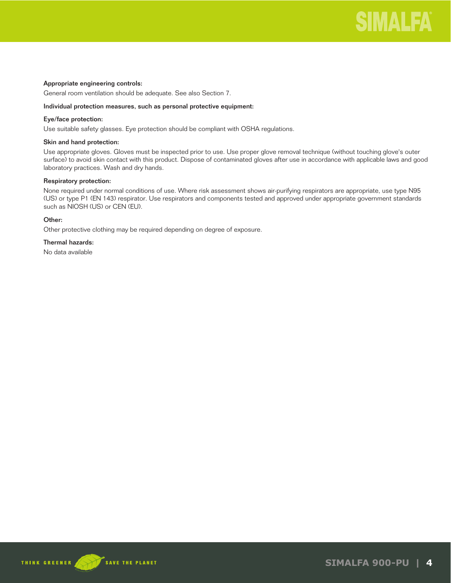

# Appropriate engineering controls:

General room ventilation should be adequate. See also Section 7.

#### Individual protection measures, such as personal protective equipment:

### Eye/face protection:

Use suitable safety glasses. Eye protection should be compliant with OSHA regulations.

# Skin and hand protection:

Use appropriate gloves. Gloves must be inspected prior to use. Use proper glove removal technique (without touching glove's outer surface) to avoid skin contact with this product. Dispose of contaminated gloves after use in accordance with applicable laws and good laboratory practices. Wash and dry hands.

# Respiratory protection:

None required under normal conditions of use. Where risk assessment shows air-purifying respirators are appropriate, use type N95 (US) or type P1 (EN 143) respirator. Use respirators and components tested and approved under appropriate government standards such as NIOSH (US) or CEN (EU).

# Other:

Other protective clothing may be required depending on degree of exposure.

# Thermal hazards:

No data available

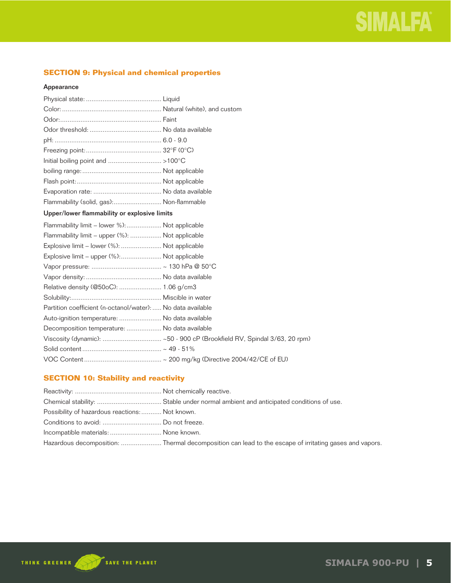# **SECTION 9: Physical and chemical properties**

# Appearance

| Flammability (solid, gas): Non-flammable |  |
|------------------------------------------|--|

# Upper/lower flammability or explosive limits

| Flammability limit – lower %): Not applicable               |  |
|-------------------------------------------------------------|--|
| Flammability limit - upper (%):  Not applicable             |  |
| Explosive limit - lower (%):  Not applicable                |  |
| Explosive limit – upper (%): Not applicable                 |  |
|                                                             |  |
|                                                             |  |
|                                                             |  |
|                                                             |  |
| Partition coefficient (n-octanol/water):  No data available |  |
| Auto-ignition temperature:  No data available               |  |
| Decomposition temperature:  No data available               |  |
|                                                             |  |
|                                                             |  |
|                                                             |  |

# **SECTION 10: Stability and reactivity**

| Possibility of hazardous reactions: Not known. |                                                                                                        |
|------------------------------------------------|--------------------------------------------------------------------------------------------------------|
|                                                |                                                                                                        |
| Incompatible materials:  None known.           |                                                                                                        |
|                                                | Hazardous decomposition:  Thermal decomposition can lead to the escape of irritating gases and vapors. |

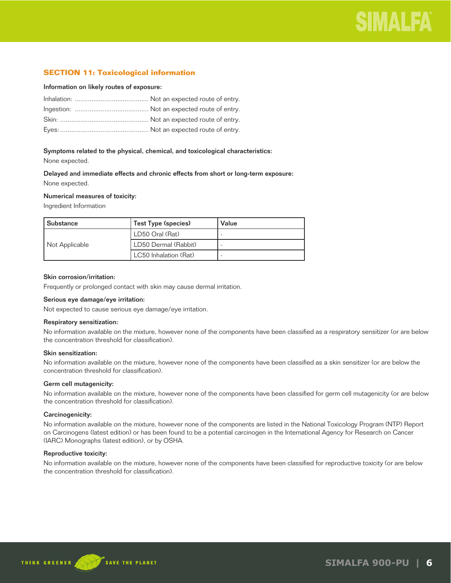# **SECTION 11: Toxicological information**

#### Information on likely routes of exposure:

# Symptoms related to the physical, chemical, and toxicological characteristics:

None expected.

# Delayed and immediate effects and chronic effects from short or long-term exposure: None expected.

# Numerical measures of toxicity:

Ingredient Information

| l Substance    | <b>Test Type (species)</b> | Value |
|----------------|----------------------------|-------|
| Not Applicable | LD50 Oral (Rat)            |       |
|                | LD50 Dermal (Rabbit)       |       |
|                | LC50 Inhalation (Rat)      |       |

#### Skin corrosion/irritation:

Frequently or prolonged contact with skin may cause dermal irritation.

# Serious eye damage/eye irritation:

Not expected to cause serious eye damage/eye irritation.

#### Respiratory sensitization:

No information available on the mixture, however none of the components have been classified as a respiratory sensitizer (or are below the concentration threshold for classification).

# Skin sensitization:

No information available on the mixture, however none of the components have been classified as a skin sensitizer (or are below the concentration threshold for classification).

# Germ cell mutagenicity:

No information available on the mixture, however none of the components have been classified for germ cell mutagenicity (or are below the concentration threshold for classification).

#### Carcinogenicity:

No information available on the mixture, however none of the components are listed in the National Toxicology Program (NTP) Report on Carcinogens (latest edition) or has been found to be a potential carcinogen in the International Agency for Research on Cancer (IARC) Monographs (latest edition), or by OSHA.

# Reproductive toxicity:

No information available on the mixture, however none of the components have been classified for reproductive toxicity (or are below the concentration threshold for classification).

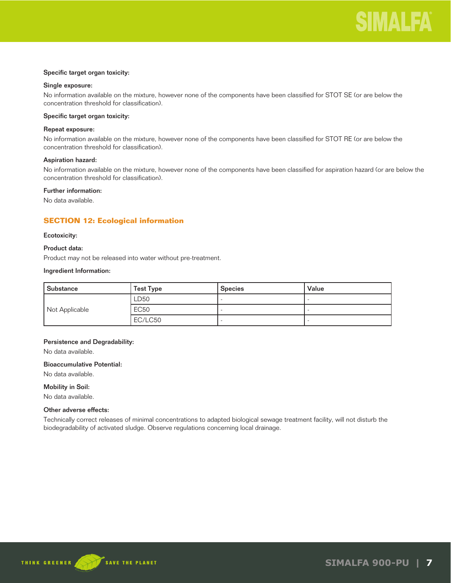# Specific target organ toxicity:

# Single exposure:

No information available on the mixture, however none of the components have been classified for STOT SE (or are below the concentration threshold for classification).

# Specific target organ toxicity:

#### Repeat exposure:

No information available on the mixture, however none of the components have been classified for STOT RE (or are below the concentration threshold for classification).

### Aspiration hazard:

No information available on the mixture, however none of the components have been classified for aspiration hazard (or are below the concentration threshold for classification).

# Further information:

No data available.

# **SECTION 12: Ecological information**

### Ecotoxicity:

### Product data:

Product may not be released into water without pre-treatment.

### Ingredient Information:

| Substance      | <b>Test Type</b> | <b>Species</b> | Value |
|----------------|------------------|----------------|-------|
|                | LD50             |                |       |
| Not Applicable | <b>EC50</b>      |                |       |
|                | EC/LC50          |                |       |

# Persistence and Degradability:

No data available.

# Bioaccumulative Potential:

No data available.

Mobility in Soil:

No data available.

# Other adverse effects:

Technically correct releases of minimal concentrations to adapted biological sewage treatment facility, will not disturb the biodegradability of activated sludge. Observe regulations concerning local drainage.

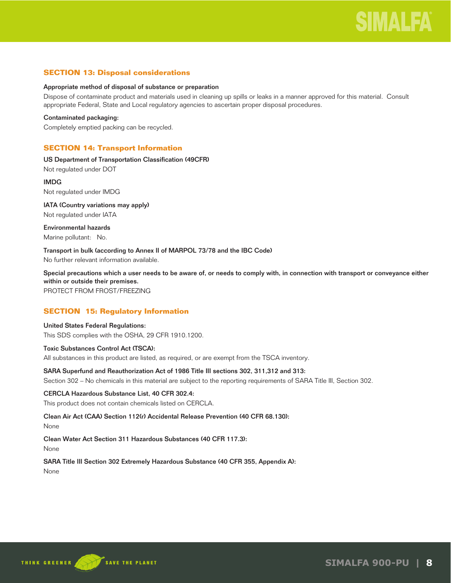# **SECTION 13: Disposal considerations**

### Appropriate method of disposal of substance or preparation

Dispose of contaminate product and materials used in cleaning up spills or leaks in a manner approved for this material. Consult appropriate Federal, State and Local regulatory agencies to ascertain proper disposal procedures.

### Contaminated packaging:

Completely emptied packing can be recycled.

# **SECTION 14: Transport Information**

US Department of Transportation Classification (49CFR) Not regulated under DOT

IMDG Not regulated under IMDG

IATA (Country variations may apply) Not regulated under IATA

Environmental hazards Marine pollutant: No.

Transport in bulk (according to Annex II of MARPOL 73/78 and the IBC Code) No further relevant information available.

Special precautions which a user needs to be aware of, or needs to comply with, in connection with transport or conveyance either within or outside their premises.

PROTECT FROM FROST/FREEZING

# **SECTION 15: Regulatory Information**

United States Federal Regulations: This SDS complies with the OSHA, 29 CFR 1910.1200.

Toxic Substances Control Act (TSCA):

All substances in this product are listed, as required, or are exempt from the TSCA inventory.

# SARA Superfund and Reauthorization Act of 1986 Title III sections 302, 311,312 and 313:

Section 302 – No chemicals in this material are subject to the reporting requirements of SARA Title III, Section 302.

# CERCLA Hazardous Substance List, 40 CFR 302.4:

This product does not contain chemicals listed on CERCLA.

Clean Air Act (CAA) Section 112(r) Accidental Release Prevention (40 CFR 68.130):

None

Clean Water Act Section 311 Hazardous Substances (40 CFR 117.3):

None

SARA Title III Section 302 Extremely Hazardous Substance (40 CFR 355, Appendix A): None

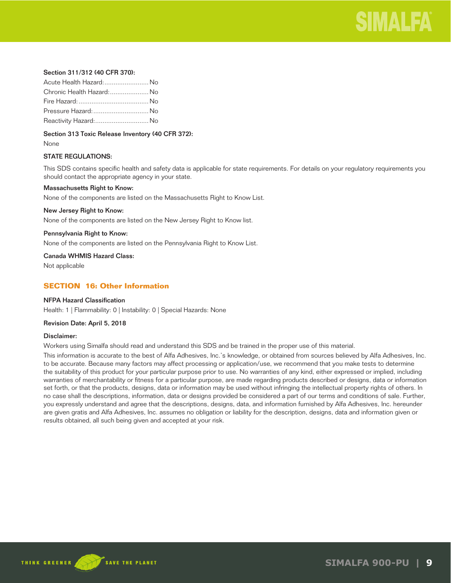

# Section 311/312 (40 CFR 370):

| Acute Health Hazard: No   |  |
|---------------------------|--|
| Chronic Health Hazard: No |  |
|                           |  |
| Pressure Hazard:  No      |  |
| Reactivity Hazard: No     |  |

Section 313 Toxic Release Inventory (40 CFR 372):

None

# STATE REGULATIONS:

This SDS contains specific health and safety data is applicable for state requirements. For details on your regulatory requirements you should contact the appropriate agency in your state.

#### Massachusetts Right to Know:

None of the components are listed on the Massachusetts Right to Know List.

#### New Jersey Right to Know:

None of the components are listed on the New Jersey Right to Know list.

#### Pennsylvania Right to Know:

None of the components are listed on the Pennsylvania Right to Know List.

Canada WHMIS Hazard Class:

Not applicable

# **SECTION 16: Other Information**

# NFPA Hazard Classification

Health: 1 | Flammability: 0 | Instability: 0 | Special Hazards: None

#### Revision Date: April 5, 2018

#### Disclaimer:

Workers using Simalfa should read and understand this SDS and be trained in the proper use of this material.

This information is accurate to the best of Alfa Adhesives, Inc.'s knowledge, or obtained from sources believed by Alfa Adhesives, Inc. to be accurate. Because many factors may affect processing or application/use, we recommend that you make tests to determine the suitability of this product for your particular purpose prior to use. No warranties of any kind, either expressed or implied, including warranties of merchantability or fitness for a particular purpose, are made regarding products described or designs, data or information set forth, or that the products, designs, data or information may be used without infringing the intellectual property rights of others. In no case shall the descriptions, information, data or designs provided be considered a part of our terms and conditions of sale. Further, you expressly understand and agree that the descriptions, designs, data, and information furnished by Alfa Adhesives, Inc. hereunder are given gratis and Alfa Adhesives, Inc. assumes no obligation or liability for the description, designs, data and information given or results obtained, all such being given and accepted at your risk.

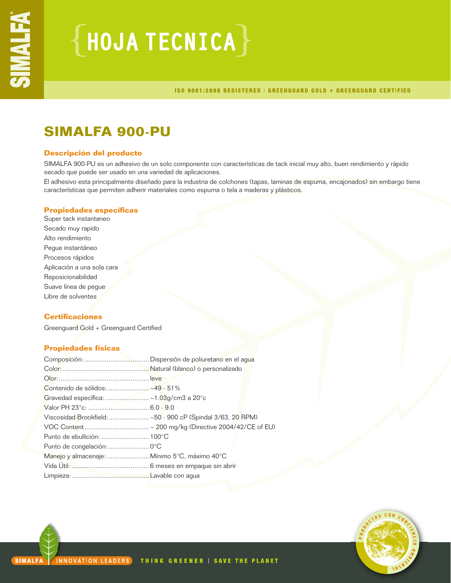# ${HoudATECNICA}$

ISO 9001:2008 REGISTERED | GREENGUARD GOLD + GREENGUARD CERTIFIED

# **SIMALFA 900-PU**

# **Descripción del producto**

SIMALFA 900-PU es un adhesivo de un solo componente con características de tack inicial muy alto, buen rendimiento y rápido secado que puede ser usado en una variedad de aplicaciones.

El adhesivo esta principalmente diseñado para la industria de colchones (tapas, laminas de espuma, encajonados) sin embargo tiene características que permiten adherir materiales como espuma o tela a maderas y plásticos.

# **Propiedades específicas**

Super tack instantaneo Secado muy rapido Alto rendimiento Pegue instantáneo Procesos rápidos Aplicación a una sola cara Reposicionabilidad Suave línea de pegue Libre de solventes

# **Certificaciones**

Greenguard Gold + Greenguard Certified

# **Propiedades físicas**

|                                               | Viscosidad Brookfield:  ~50 - 900 cP (Spindal 3/63, 20 RPM) |
|-----------------------------------------------|-------------------------------------------------------------|
|                                               |                                                             |
| Punto de ebullición:  100°C                   |                                                             |
|                                               |                                                             |
| Manejo y almacenaje:  Mínimo 5°C, máximo 40°C |                                                             |
|                                               |                                                             |
|                                               |                                                             |

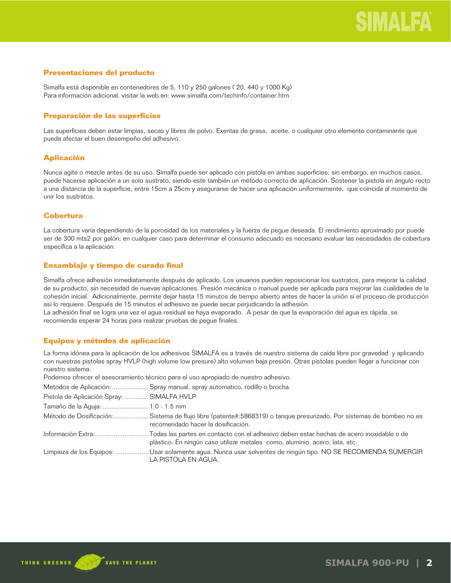# **Presentaciones del producto**

Simalfa está disponible en contenedores de 5, 110 y 250 galones ( 20, 440 y 1000 Kg) Para información adicional, visitar la web en: www.simalfa.com/techinfo/container.htm

# **Preparación de las superficies**

Las superficies deben estar limpias, secas y libres de polvo. Exentas de grasa, aceite, o cualquier otro elemento contaminante que pueda afectar el buen desempeño del adhesivo.

# **Aplicación**

Nunca agite o mezcle antes de su uso. Simalfa puede ser aplicado con pistola en ambas superficies; sin embargo, en muchos casos, puede hacerse aplicación a un solo sustrato, siendo este también un método correcto de aplicación. Sostener la pistola en ángulo recto a una distancia de la superficie, entre 15cm a 25cm y asegurarse de hacer una aplicación uniformemente, que coincida al momento de unir los sustratos.

# **Cobertura**

La cobertura varía dependiendo de la porosidad de los materiales y la fuerza de pegue deseada. El rendimiento aproximado por puede ser de 300 mts2 por galón; en cualquier caso para determinar el consumo adecuado es necesario evaluar las necesidades de cobertura específica a la aplicación.

# **Ensamblaje y tiempo de curado final**

Simalfa ofrece adhesión inmediatamente después de aplicado. Los usuarios pueden reposicionar los sustratos, para mejorar la calidad de su producto, sin necesidad de nuevas aplicaciones. Presión mecánica o manual puede ser aplicada para mejorar las cualidades de la cohesión inicial. Adicionalmente, permite dejar hasta 15 minutos de tiempo abierto antes de hacer la unión si el proceso de producción así lo requiere. Después de 15 minutos el adhesivo se puede secar perjudicando la adhesión.

La adhesión final se logra una vez el agua residual se haya evaporado. A pesar de que la evaporación del agua es rápida, se recomienda esperar 24 horas para realizar pruebas de pegue finales.

# **Equipos y métodos de aplicación**

La forma idónea para la aplicación de los adhesivos SIMALFA es a través de nuestro sistema de caída libre por gravedad y aplicando con nuestras pistolas spray HVLP (high volume low presure) alto volumen baja presión. Otras pistolas pueden llegar a funcionar con nuestro sistema.

Podemos ofrecer el asesoramiento técnico para el uso apropiado de nuestro adhesivo.

Metodos de Aplicación: ....................Spray manual, spray automatico, rodillo o brocha.

| Pistola de Aplicación Spray:  SIMALFA HVLP |                                                                                                                                                                                           |
|--------------------------------------------|-------------------------------------------------------------------------------------------------------------------------------------------------------------------------------------------|
| Tamaño de la Aguja:  1.0 - 1.5 mm          |                                                                                                                                                                                           |
|                                            | Método de Dosificación:Sistema de flujo libre (patente#:5868319) o tanque presurizado. Por sistemas de bombeo no es<br>recomendado hacer la dosificación.                                 |
|                                            | Información Extra:Todas las partes en contacto con el adhesivo deben estar hechas de acero inoxidable o de<br>plástico. En ningún caso utilizar metales como, aluminio, acero, lata, etc. |
|                                            | Limpieza de los Equipos: Usar solamente agua. Nunca usar solventes de ningún tipo. NO SE RECOMIENDA SUMERGIR<br>LA PISTOLA EN AGUA.                                                       |

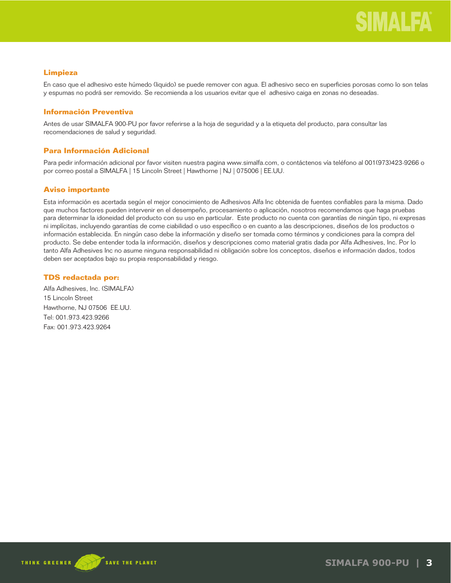# **Limpieza**

En caso que el adhesivo este húmedo (liquido) se puede remover con agua. El adhesivo seco en superficies porosas como lo son telas y espumas no podrá ser removido. Se recomienda a los usuarios evitar que el adhesivo caiga en zonas no deseadas.

# **Información Preventiva**

Antes de usar SIMALFA 900-PU por favor referirse a la hoja de seguridad y a la etiqueta del producto, para consultar las recomendaciones de salud y seguridad.

# **Para Información Adicional**

Para pedir información adicional por favor visiten nuestra pagina www.simalfa.com, o contáctenos vía teléfono al 001(973)423-9266 o por correo postal a SIMALFA | 15 Lincoln Street | Hawthorne | NJ | 075006 | EE.UU.

# **Aviso importante**

Esta información es acertada según el mejor conocimiento de Adhesivos Alfa Inc obtenida de fuentes confiables para la misma. Dado que muchos factores pueden intervenir en el desempeño, procesamiento o aplicación, nosotros recomendamos que haga pruebas para determinar la idoneidad del producto con su uso en particular. Este producto no cuenta con garantías de ningún tipo, ni expresas ni implícitas, incluyendo garantías de come ciabilidad o uso específico o en cuanto a las descripciones, diseños de los productos o información establecida. En ningún caso debe la información y diseño ser tomada como términos y condiciones para la compra del producto. Se debe entender toda la información, diseños y descripciones como material gratis dada por Alfa Adhesives, Inc. Por lo tanto Alfa Adhesives Inc no asume ninguna responsabilidad ni obligación sobre los conceptos, diseños e información dados, todos deben ser aceptados bajo su propia responsabilidad y riesgo.

# **TDS redactada por:**

Alfa Adhesives, Inc. (SIMALFA) 15 Lincoln Street Hawthorne, NJ 07506 EE.UU. Tel: 001.973.423.9266 Fax: 001.973.423.9264

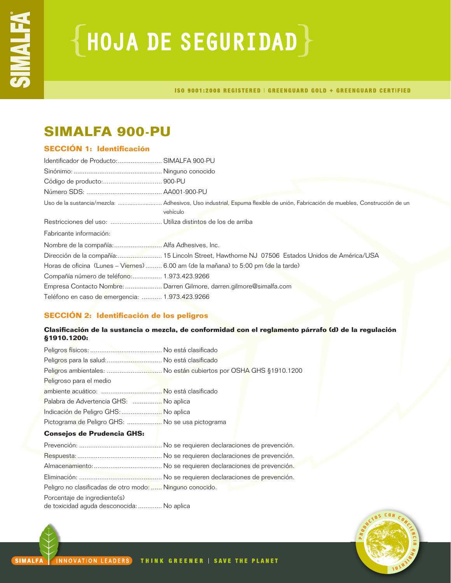# **{HOJA DE SEGURIDAD}**

ISO 9001:2008 REGISTERED | GREENGUARD GOLD + GREENGUARD CERTIFIED

# **SIMALFA 900-PU**

# **SECCIÓN 1: Identificación**

| Identificador de Producto:  SIMALFA 900-PU      |                                                                                                                                          |
|-------------------------------------------------|------------------------------------------------------------------------------------------------------------------------------------------|
|                                                 |                                                                                                                                          |
|                                                 |                                                                                                                                          |
|                                                 |                                                                                                                                          |
|                                                 | Uso de la sustancia/mezcla:  Adhesivos, Uso industrial, Espuma flexible de unión, Fabricación de muebles, Construcción de un<br>vehículo |
|                                                 |                                                                                                                                          |
| Fabricante información:                         |                                                                                                                                          |
|                                                 |                                                                                                                                          |
|                                                 | Dirección de la compañía: 15 Lincoln Street, Hawthorne NJ 07506 Estados Unidos de América/USA                                            |
|                                                 | Horas de oficina (Lunes - Viernes)  6.00 am (de la mañana) to 5:00 pm (de la tarde)                                                      |
| Compañía número de teléfono: 1.973.423.9266     |                                                                                                                                          |
|                                                 | Empresa Contacto Nombre:  Darren Gilmore, darren.gilmore@simalfa.com                                                                     |
| Teléfono en caso de emergencia:  1.973.423.9266 |                                                                                                                                          |

# **SECCIÓN 2: Identificación de los peligros**

# **Clasificación de la sustancia o mezcla, de conformidad con el reglamento párrafo (d) de la regulación §1910.1200:**

| Peligros para la salud: No está clasificado      |                                                                   |
|--------------------------------------------------|-------------------------------------------------------------------|
|                                                  | Peligros ambientales:  No están cubiertos por OSHA GHS §1910.1200 |
| Peligroso para el medio                          |                                                                   |
|                                                  |                                                                   |
| Palabra de Advertencia GHS:  No aplica           |                                                                   |
| Indicación de Peligro GHS:  No aplica            |                                                                   |
| Pictograma de Peligro GHS:  No se usa pictograma |                                                                   |
| <b>Consejos de Prudencia GHS:</b>                |                                                                   |
|                                                  |                                                                   |
|                                                  |                                                                   |

| Peligro no clasificadas de otro modo:  Ninguno conocido. |  |
|----------------------------------------------------------|--|
| Porcentaje de ingrediente(s)                             |  |
| de toxicidad aguda desconocida:  No aplica               |  |

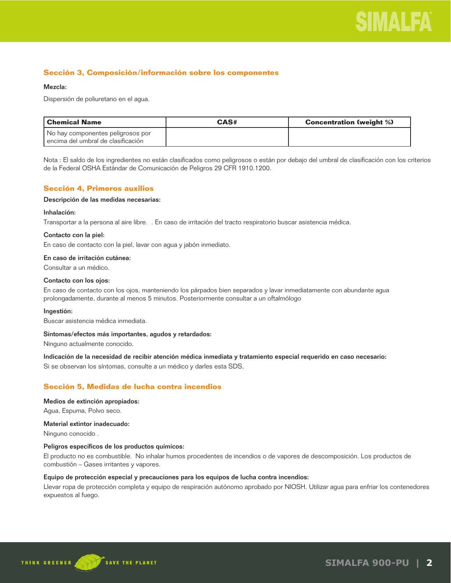

# **Sección 3, Composición/información sobre los componentes**

#### Mezcla:

Dispersión de poliuretano en el agua.

| l Chemical Name                      | CAS# | <b>Concentration (weight %)</b> |
|--------------------------------------|------|---------------------------------|
| No hay componentes peligrosos por    |      |                                 |
| l encima del umbral de clasificación |      |                                 |

Nota : El saldo de los ingredientes no están clasificados como peligrosos o están por debajo del umbral de clasificación con los criterios de la Federal OSHA Estándar de Comunicación de Peligros 29 CFR 1910.1200.

# **Sección 4, Primeros auxilios**

#### Descripción de las medidas necesarias:

#### Inhalación:

Transportar a la persona al aire libre. . En caso de irritación del tracto respiratorio buscar asistencia médica.

#### Contacto con la piel:

En caso de contacto con la piel, lavar con agua y jabón inmediato.

#### En caso de irritación cutánea:

Consultar a un médico.

#### Contacto con los ojos:

En caso de contacto con los ojos, manteniendo los párpados bien separados y lavar inmediatamente con abundante agua prolongadamente, durante al menos 5 minutos. Posteriormente consultar a un oftalmólogo

#### Ingestión:

Buscar asistencia médica inmediata.

#### Síntomas/efectos más importantes, agudos y retardados:

Ninguno actualmente conocido.

Indicación de la necesidad de recibir atención médica inmediata y tratamiento especial requerido en caso necesario:

Si se observan los síntomas, consulte a un médico y darles esta SDS.

# **Sección 5, Medidas de lucha contra incendios**

#### Medios de extinción apropiados:

Agua, Espuma, Polvo seco.

### Material extintor inadecuado:

Ninguno conocido .

#### Peligros específicos de los productos químicos:

El producto no es combustible. No inhalar humos procedentes de incendios o de vapores de descomposición. Los productos de combustión – Gases irritantes y vapores.

#### Equipo de protección especial y precauciones para los equipos de lucha contra incendios:

Llevar ropa de protección completa y equipo de respiración autónomo aprobado por NIOSH. Utilizar agua para enfriar los contenedores expuestos al fuego.

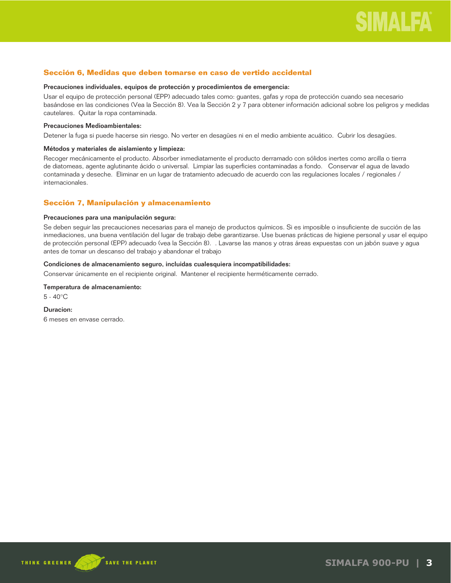# **Sección 6, Medidas que deben tomarse en caso de vertido accidental**

#### Precauciones individuales, equipos de protección y procedimientos de emergencia:

Usar el equipo de protección personal (EPP) adecuado tales como: guantes, gafas y ropa de protección cuando sea necesario basándose en las condiciones (Vea la Sección 8). Vea la Sección 2 y 7 para obtener información adicional sobre los peligros y medidas cautelares. Quitar la ropa contaminada.

#### Precauciones Medioambientales:

Detener la fuga si puede hacerse sin riesgo. No verter en desagües ni en el medio ambiente acuático. Cubrir los desagües.

#### Métodos y materiales de aislamiento y limpieza:

Recoger mecánicamente el producto. Absorber inmediatamente el producto derramado con sólidos inertes como arcilla o tierra de diatomeas, agente aglutinante ácido o universal. Limpiar las superficies contaminadas a fondo. Conservar el agua de lavado contaminada y deseche. Eliminar en un lugar de tratamiento adecuado de acuerdo con las regulaciones locales / regionales / internacionales.

# **Sección 7, Manipulación y almacenamiento**

### Precauciones para una manipulación segura:

Se deben seguir las precauciones necesarias para el manejo de productos químicos. Si es imposible o insuficiente de succión de las inmediaciones, una buena ventilación del lugar de trabajo debe garantizarse. Use buenas prácticas de higiene personal y usar el equipo de protección personal (EPP) adecuado (vea la Sección 8). . Lavarse las manos y otras áreas expuestas con un jabón suave y agua antes de tomar un descanso del trabajo y abandonar el trabajo

### Condiciones de almacenamiento seguro, incluidas cualesquiera incompatibilidades:

Conservar únicamente en el recipiente original. Mantener el recipiente herméticamente cerrado.

# Temperatura de almacenamiento:

5 - 40°C

#### Duracion:

6 meses en envase cerrado.

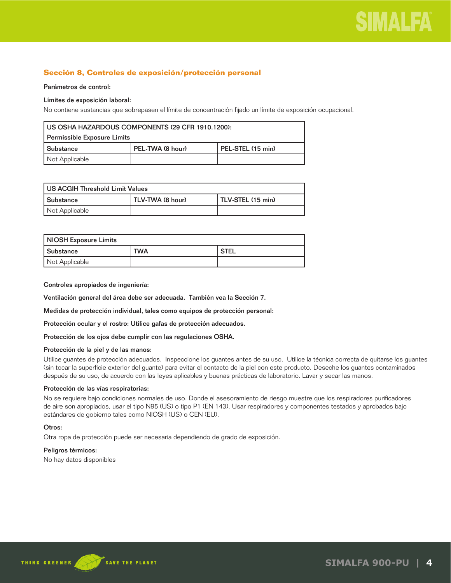

# **Sección 8, Controles de exposición/protección personal**

#### Parámetros de control:

### Límites de exposición laboral:

No contiene sustancias que sobrepasen el límite de concentración fijado un límite de exposición ocupacional.

| US OSHA HAZARDOUS COMPONENTS (29 CFR 1910.1200):       |  |  |  |
|--------------------------------------------------------|--|--|--|
| Permissible Exposure Limits                            |  |  |  |
| PEL-TWA (8 hour)<br>l PEL-STEL (15 min)<br>l Substance |  |  |  |
| Not Applicable                                         |  |  |  |

| US ACGIH Threshold Limit Values                    |  |  |  |
|----------------------------------------------------|--|--|--|
| Substance<br>TLV-TWA (8 hour)<br>TLV-STEL (15 min) |  |  |  |
| Not Applicable                                     |  |  |  |

| NIOSH Exposure Limits |            |               |
|-----------------------|------------|---------------|
| <b>Substance</b>      | <b>TWA</b> | <b>I STEL</b> |
| Not Applicable        |            |               |

Controles apropiados de ingeniería:

Ventilación general del área debe ser adecuada. También vea la Sección 7.

Medidas de protección individual, tales como equipos de protección personal:

Protección ocular y el rostro: Utilice gafas de protección adecuados.

Protección de los ojos debe cumplir con las regulaciones OSHA.

# Protección de la piel y de las manos:

Utilice guantes de protección adecuados. Inspeccione los guantes antes de su uso. Utilice la técnica correcta de quitarse los guantes (sin tocar la superficie exterior del guante) para evitar el contacto de la piel con este producto. Deseche los guantes contaminados después de su uso, de acuerdo con las leyes aplicables y buenas prácticas de laboratorio. Lavar y secar las manos.

# Protección de las vías respiratorias:

No se requiere bajo condiciones normales de uso. Donde el asesoramiento de riesgo muestre que los respiradores purificadores de aire son apropiados, usar el tipo N95 (US) o tipo P1 (EN 143). Usar respiradores y componentes testados y aprobados bajo estándares de gobierno tales como NIOSH (US) o CEN (EU).

#### Otros:

Otra ropa de protección puede ser necesaria dependiendo de grado de exposición.

#### Peligros térmicos:

No hay datos disponibles

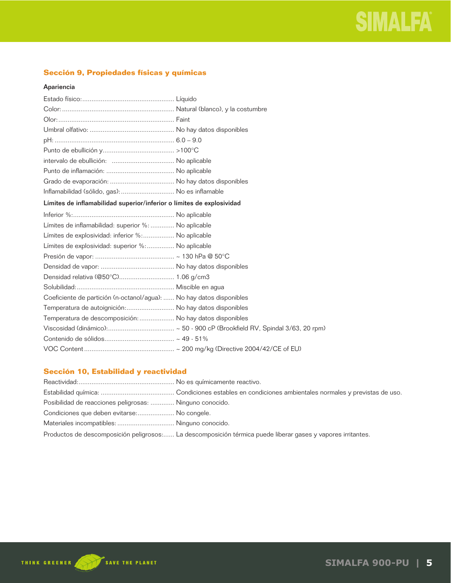# **Sección 9, Propiedades físicas y químicas**

# Apariencia

| Inflamabilidad (sólido, gas):  No es inflamable                       |  |
|-----------------------------------------------------------------------|--|
| Límites de inflamabilidad superior/inferior o límites de explosividad |  |
|                                                                       |  |
| Límites de inflamabilidad: superior %:  No aplicable                  |  |
| Límites de explosividad: inferior %: No aplicable                     |  |
| Límites de explosividad: superior %: No aplicable                     |  |
|                                                                       |  |
|                                                                       |  |
| Densidad relativa (@50°C) 1.06 g/cm3                                  |  |
|                                                                       |  |
| Coeficiente de partición (n-octanol/agua):  No hay datos disponibles  |  |
| Temperatura de autoignición: No hay datos disponibles                 |  |
| Temperatura de descomposición:  No hay datos disponibles              |  |
|                                                                       |  |
|                                                                       |  |
|                                                                       |  |

# **Sección 10, Estabilidad y reactividad**

| Posibilidad de reacciones peligrosas:  Ninguno conocido. |                                                                                                             |
|----------------------------------------------------------|-------------------------------------------------------------------------------------------------------------|
| Condiciones que deben evitarse: No congele.              |                                                                                                             |
| Materiales incompatibles:  Ninguno conocido.             |                                                                                                             |
|                                                          | Productos de descomposición peligrosos: La descomposición térmica puede liberar gases y vapores irritantes. |

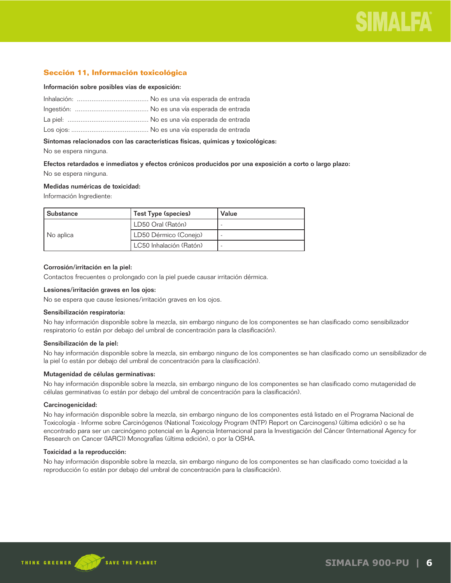# **Sección 11, Información toxicológica**

#### Información sobre posibles vías de exposición:

Síntomas relacionados con las características físicas, químicas y toxicológicas:

No se espera ninguna.

Efectos retardados e inmediatos y efectos crónicos producidos por una exposición a corto o largo plazo: No se espera ninguna.

#### Medidas numéricas de toxicidad:

Información Ingrediente:

| <b>Substance</b> | Test Type (species)     | Value |
|------------------|-------------------------|-------|
| No aplica        | LD50 Oral (Ratón)       |       |
|                  | LD50 Dérmico (Conejo)   |       |
|                  | LC50 Inhalación (Ratón) |       |

### Corrosión/irritación en la piel:

Contactos frecuentes o prolongado con la piel puede causar irritación dérmica.

# Lesiones/irritación graves en los ojos:

No se espera que cause lesiones/irritación graves en los ojos.

#### Sensibilización respiratoria:

No hay información disponible sobre la mezcla, sin embargo ninguno de los componentes se han clasificado como sensibilizador respiratorio (o están por debajo del umbral de concentración para la clasificación).

#### Sensibilización de la piel:

No hay información disponible sobre la mezcla, sin embargo ninguno de los componentes se han clasificado como un sensibilizador de la piel (o están por debajo del umbral de concentración para la clasificación).

#### Mutagenidad de células germinativas:

No hay información disponible sobre la mezcla, sin embargo ninguno de los componentes se han clasificado como mutagenidad de células germinativas (o están por debajo del umbral de concentración para la clasificación).

#### Carcinogenicidad:

No hay información disponible sobre la mezcla, sin embargo ninguno de los componentes está listado en el Programa Nacional de Toxicología - Informe sobre Carcinógenos (National Toxicology Program (NTP) Report on Carcinogens) (última edición) o se ha encontrado para ser un carcinógeno potencial en la Agencia Internacional para la Investigación del Cáncer (International Agency for Research on Cancer (IARC)) Monografías (última edición), o por la OSHA.

#### Toxicidad a la reproducción:

No hay información disponible sobre la mezcla, sin embargo ninguno de los componentes se han clasificado como toxicidad a la reproducción (o están por debajo del umbral de concentración para la clasificación).

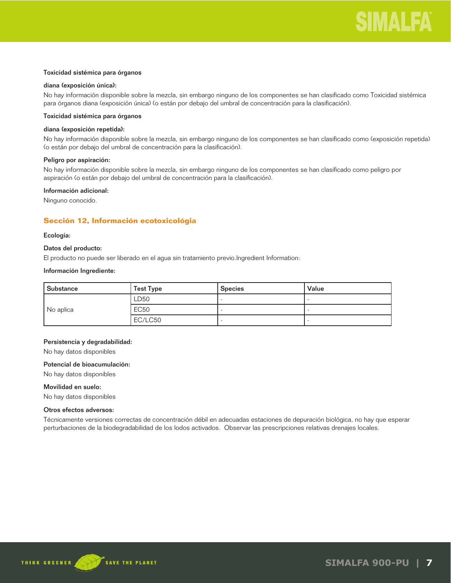#### Toxicidad sistémica para órganos

#### diana (exposición única):

No hay información disponible sobre la mezcla, sin embargo ninguno de los componentes se han clasificado como Toxicidad sistémica para órganos diana (exposición única) (o están por debajo del umbral de concentración para la clasificación).

### Toxicidad sistémica para órganos

#### diana (exposición repetida):

No hay información disponible sobre la mezcla, sin embargo ninguno de los componentes se han clasificado como (exposición repetida) (o están por debajo del umbral de concentración para la clasificación).

#### Peligro por aspiración:

No hay información disponible sobre la mezcla, sin embargo ninguno de los componentes se han clasificado como peligro por aspiración (o están por debajo del umbral de concentración para la clasificación).

#### Información adicional:

Ninguno conocido.

# **Sección 12, Información ecotoxicológia**

#### Ecología:

#### Datos del producto:

El producto no puede ser liberado en el agua sin tratamiento previo.Ingredient Information:

#### Información Ingrediente:

| Substance | <b>Test Type</b> | <b>Species</b> | Value |
|-----------|------------------|----------------|-------|
| No aplica | LD50             |                |       |
|           | <b>EC50</b>      |                |       |
|           | EC/LC50          |                |       |

#### Persistencia y degradabilidad:

No hay datos disponibles

# Potencial de bioacumulación:

No hay datos disponibles

# Movilidad en suelo:

No hay datos disponibles

#### Otros efectos adversos:

Técnicamente versiones correctas de concentración débil en adecuadas estaciones de depuración biológica, no hay que esperar perturbaciones de la biodegradabilidad de los lodos activados. Observar las prescripciones relativas drenajes locales.

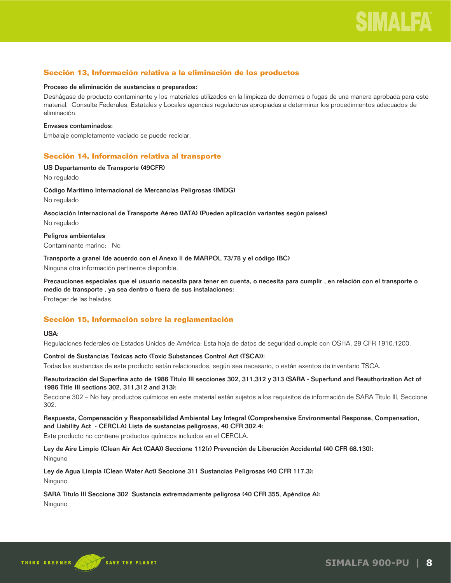# **Sección 13, Información relativa a la eliminación de los productos**

#### Proceso de eliminación de sustancias o preparados:

Deshágase de producto contaminante y los materiales utilizados en la limpieza de derrames o fugas de una manera aprobada para este material. Consulte Federales, Estatales y Locales agencias reguladoras apropiadas a determinar los procedimientos adecuados de eliminación.

#### Envases contaminados:

Embalaje completamente vaciado se puede reciclar.

# **Sección 14, Información relativa al transporte**

### US Departamento de Transporte (49CFR)

No regulado

# Código Marítimo Internacional de Mercancías Peligrosas (IMDG)

No regulado

Asociación Internacional de Transporte Aéreo (IATA) (Pueden aplicación variantes según países)

No regulado

# Peligros ambientales

Contaminante marino: No

Transporte a granel (de acuerdo con el Anexo II de MARPOL 73/78 y el código IBC)

Ninguna otra información pertinente disponible.

Precauciones especiales que el usuario necesita para tener en cuenta, o necesita para cumplir , en relación con el transporte o medio de transporte , ya sea dentro o fuera de sus instalaciones:

Proteger de las heladas

# **Sección 15, Información sobre la reglamentación**

# USA:

Regulaciones federales de Estados Unidos de América: Esta hoja de datos de seguridad cumple con OSHA, 29 CFR 1910.1200.

# Control de Sustancias Tóxicas acto (Toxic Substances Control Act (TSCA)):

Todas las sustancias de este producto están relacionados, según sea necesario, o están exentos de inventario TSCA.

### Reautorización del Superfina acto de 1986 Título III secciones 302, 311,312 y 313 (SARA - Superfund and Reauthorization Act of 1986 Title III sections 302, 311,312 and 313):

Seccione 302 – No hay productos químicos en este material están sujetos a los requisitos de información de SARA Título III, Seccione 302.

# Respuesta, Compensación y Responsabilidad Ambiental Ley Integral (Comprehensive Environmental Response, Compensation, and Liability Act - CERCLA) Lista de sustancias peligrosas, 40 CFR 302.4:

Este producto no contiene productos químicos incluidos en el CERCLA.

Ley de Aire Limpio (Clean Air Act (CAA)) Seccione 112(r) Prevención de Liberación Accidental (40 CFR 68.130): Ninguno

Ley de Agua Limpia (Clean Water Act) Seccione 311 Sustancias Peligrosas (40 CFR 117.3):

Ninguno

# SARA Título III Seccione 302 Sustancia extremadamente peligrosa (40 CFR 355, Apéndice A):

Ninguno